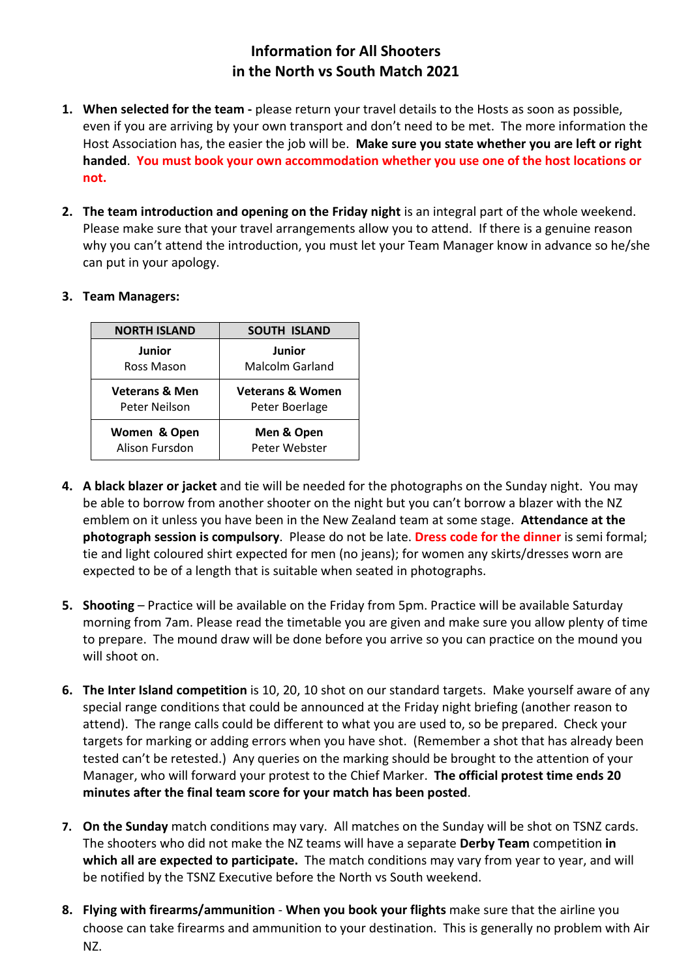## **Information for All Shooters in the North vs South Match 2021**

- **1. When selected for the team -** please return your travel details to the Hosts as soon as possible, even if you are arriving by your own transport and don't need to be met. The more information the Host Association has, the easier the job will be. **Make sure you state whether you are left or right handed**. **You must book your own accommodation whether you use one of the host locations or not.**
- **2. The team introduction and opening on the Friday night** is an integral part of the whole weekend. Please make sure that your travel arrangements allow you to attend. If there is a genuine reason why you can't attend the introduction, you must let your Team Manager know in advance so he/she can put in your apology.

| <b>NORTH ISLAND</b>       | <b>SOUTH ISLAND</b>         |
|---------------------------|-----------------------------|
| Junior                    | Junior                      |
| Ross Mason                | Malcolm Garland             |
| <b>Veterans &amp; Men</b> | <b>Veterans &amp; Women</b> |
| Peter Neilson             | Peter Boerlage              |
| Women & Open              | Men & Open                  |
| Alison Fursdon            | Peter Webster               |

## **3. Team Managers:**

- **4. A black blazer or jacket** and tie will be needed for the photographs on the Sunday night. You may be able to borrow from another shooter on the night but you can't borrow a blazer with the NZ emblem on it unless you have been in the New Zealand team at some stage. **Attendance at the photograph session is compulsory**. Please do not be late. **Dress code for the dinner** is semi formal; tie and light coloured shirt expected for men (no jeans); for women any skirts/dresses worn are expected to be of a length that is suitable when seated in photographs.
- **5. Shooting** Practice will be available on the Friday from 5pm. Practice will be available Saturday morning from 7am. Please read the timetable you are given and make sure you allow plenty of time to prepare. The mound draw will be done before you arrive so you can practice on the mound you will shoot on.
- **6. The Inter Island competition** is 10, 20, 10 shot on our standard targets. Make yourself aware of any special range conditions that could be announced at the Friday night briefing (another reason to attend). The range calls could be different to what you are used to, so be prepared. Check your targets for marking or adding errors when you have shot. (Remember a shot that has already been tested can't be retested.) Any queries on the marking should be brought to the attention of your Manager, who will forward your protest to the Chief Marker. **The official protest time ends 20 minutes after the final team score for your match has been posted**.
- **7. On the Sunday** match conditions may vary. All matches on the Sunday will be shot on TSNZ cards. The shooters who did not make the NZ teams will have a separate **Derby Team** competition **in which all are expected to participate.** The match conditions may vary from year to year, and will be notified by the TSNZ Executive before the North vs South weekend.
- **8. Flying with firearms/ammunition When you book your flights** make sure that the airline you choose can take firearms and ammunition to your destination. This is generally no problem with Air NZ.